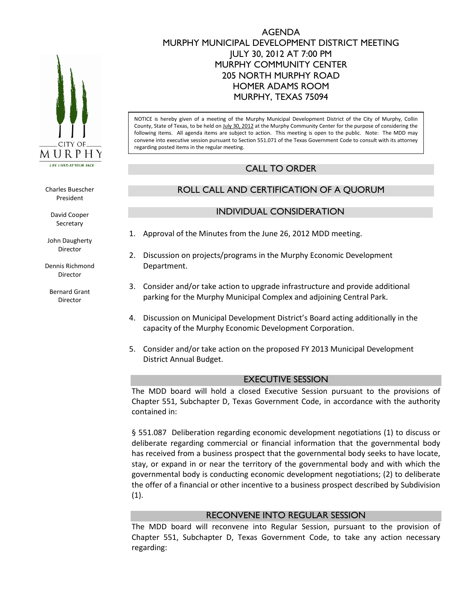

Charles Buescher President

> David Cooper Secretary

John Daugherty Director

Dennis Richmond Director

Bernard Grant Director

## AGENDA MURPHY MUNICIPAL DEVELOPMENT DISTRICT MEETING JULY 30, 2012 AT 7:00 PM MURPHY COMMUNITY CENTER 205 NORTH MURPHY ROAD HOMER ADAMS ROOM MURPHY, TEXAS 75094

NOTICE is hereby given of a meeting of the Murphy Municipal Development District of the City of Murphy, Collin County, State of Texas, to be held on July 30, 2012 at the Murphy Community Center for the purpose of considering the following items. All agenda items are subject to action. This meeting is open to the public. Note: The MDD may convene into executive session pursuant to Section 551.071 of the Texas Government Code to consult with its attorney regarding posted items in the regular meeting.

## CALL TO ORDER

# ROLL CALL AND CERTIFICATION OF A QUORUM

## INDIVIDUAL CONSIDERATION

- 1. Approval of the Minutes from the June 26, 2012 MDD meeting.
- 2. Discussion on projects/programs in the Murphy Economic Development Department.
- 3. Consider and/or take action to upgrade infrastructure and provide additional parking for the Murphy Municipal Complex and adjoining Central Park.
- 4. Discussion on Municipal Development District's Board acting additionally in the capacity of the Murphy Economic Development Corporation.
- 5. Consider and/or take action on the proposed FY 2013 Municipal Development District Annual Budget.

## EXECUTIVE SESSION

The MDD board will hold a closed Executive Session pursuant to the provisions of Chapter 551, Subchapter D, Texas Government Code, in accordance with the authority contained in:

§ 551.087 Deliberation regarding economic development negotiations (1) to discuss or deliberate regarding commercial or financial information that the governmental body has received from a business prospect that the governmental body seeks to have locate, stay, or expand in or near the territory of the governmental body and with which the governmental body is conducting economic development negotiations; (2) to deliberate the offer of a financial or other incentive to a business prospect described by Subdivision (1).

## RECONVENE INTO REGULAR SESSION

The MDD board will reconvene into Regular Session, pursuant to the provision of Chapter 551, Subchapter D, Texas Government Code, to take any action necessary regarding: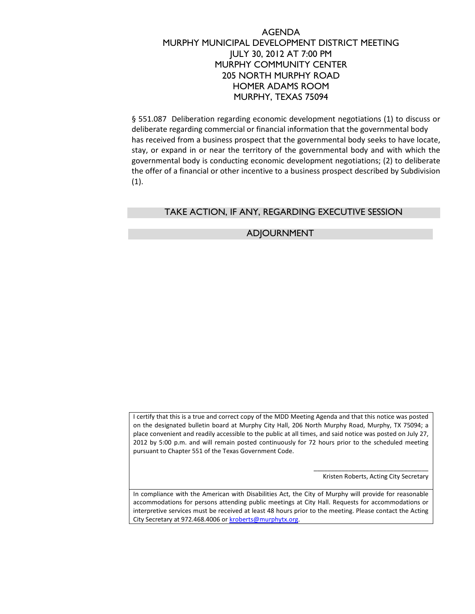## AGENDA MURPHY MUNICIPAL DEVELOPMENT DISTRICT MEETING JULY 30, 2012 AT 7:00 PM MURPHY COMMUNITY CENTER 205 NORTH MURPHY ROAD HOMER ADAMS ROOM MURPHY, TEXAS 75094

§ 551.087 Deliberation regarding economic development negotiations (1) to discuss or deliberate regarding commercial or financial information that the governmental body has received from a business prospect that the governmental body seeks to have locate, stay, or expand in or near the territory of the governmental body and with which the governmental body is conducting economic development negotiations; (2) to deliberate the offer of a financial or other incentive to a business prospect described by Subdivision  $(1).$ 

## TAKE ACTION, IF ANY, REGARDING EXECUTIVE SESSION

#### ADJOURNMENT

I certify that this is a true and correct copy of the MDD Meeting Agenda and that this notice was posted on the designated bulletin board at Murphy City Hall, 206 North Murphy Road, Murphy, TX 75094; a place convenient and readily accessible to the public at all times, and said notice was posted on July 27, 2012 by 5:00 p.m. and will remain posted continuously for 72 hours prior to the scheduled meeting pursuant to Chapter 551 of the Texas Government Code.

> \_\_\_\_\_\_\_\_\_\_\_\_\_\_\_\_\_\_\_\_\_\_\_\_\_\_\_\_\_\_\_\_\_ Kristen Roberts, Acting City Secretary

In compliance with the American with Disabilities Act, the City of Murphy will provide for reasonable accommodations for persons attending public meetings at City Hall. Requests for accommodations or interpretive services must be received at least 48 hours prior to the meeting. Please contact the Acting City Secretary at 972.468.4006 or kroberts@murphytx.org.